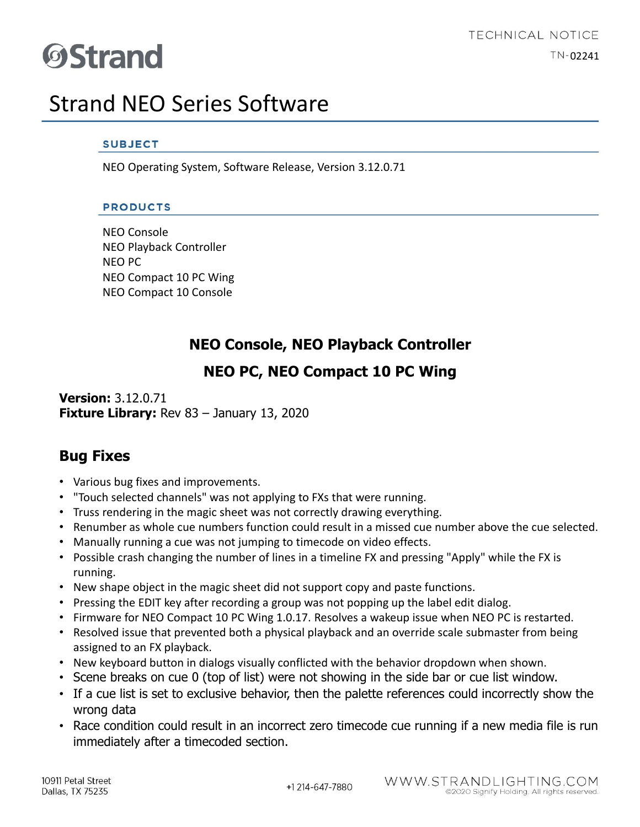# **ØStrand**

### Strand NEO Series Software

#### **SUBJECT**

NEO Operating System, Software Release, Version 3.12.0.71

#### **PRODUCTS**

NEO Console NEO Playback Controller NEO PC NEO Compact 10 PC Wing NEO Compact 10 Console

### **NEO Console, NEO Playback Controller**

### **NEO PC, NEO Compact 10 PC Wing**

**Version:** 3.12.0.71 **Fixture Library:** Rev 83 – January 13, 2020

### **Bug Fixes**

- Various bug fixes and improvements.
- "Touch selected channels" was not applying to FXs that were running.
- Truss rendering in the magic sheet was not correctly drawing everything.
- Renumber as whole cue numbers function could result in a missed cue number above the cue selected.
- Manually running a cue was not jumping to timecode on video effects.
- Possible crash changing the number of lines in a timeline FX and pressing "Apply" while the FX is running.
- New shape object in the magic sheet did not support copy and paste functions.
- Pressing the EDIT key after recording a group was not popping up the label edit dialog.
- Firmware for NEO Compact 10 PC Wing 1.0.17. Resolves a wakeup issue when NEO PC is restarted.
- Resolved issue that prevented both a physical playback and an override scale submaster from being assigned to an FX playback.
- New keyboard button in dialogs visually conflicted with the behavior dropdown when shown.
- Scene breaks on cue 0 (top of list) were not showing in the side bar or cue list window.
- If a cue list is set to exclusive behavior, then the palette references could incorrectly show the wrong data
- Race condition could result in an incorrect zero timecode cue running if a new media file is run immediately after a timecoded section.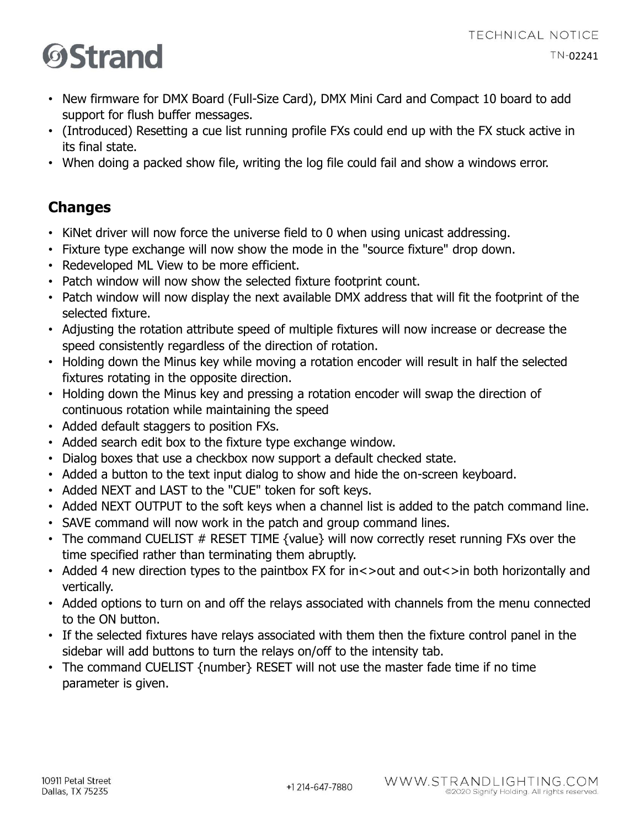## **OStrand**

- New firmware for DMX Board (Full-Size Card), DMX Mini Card and Compact 10 board to add support for flush buffer messages.
- (Introduced) Resetting a cue list running profile FXs could end up with the FX stuck active in its final state.
- When doing a packed show file, writing the log file could fail and show a windows error.

### **Changes**

- KiNet driver will now force the universe field to 0 when using unicast addressing.
- Fixture type exchange will now show the mode in the "source fixture" drop down.
- Redeveloped ML View to be more efficient.
- Patch window will now show the selected fixture footprint count.
- Patch window will now display the next available DMX address that will fit the footprint of the selected fixture.
- Adjusting the rotation attribute speed of multiple fixtures will now increase or decrease the speed consistently regardless of the direction of rotation.
- Holding down the Minus key while moving a rotation encoder will result in half the selected fixtures rotating in the opposite direction.
- Holding down the Minus key and pressing a rotation encoder will swap the direction of continuous rotation while maintaining the speed
- Added default staggers to position FXs.
- Added search edit box to the fixture type exchange window.
- Dialog boxes that use a checkbox now support a default checked state.
- Added a button to the text input dialog to show and hide the on-screen keyboard.
- Added NEXT and LAST to the "CUE" token for soft keys.
- Added NEXT OUTPUT to the soft keys when a channel list is added to the patch command line.
- SAVE command will now work in the patch and group command lines.
- The command CUELIST  $#$  RESET TIME  $\{$  value $\}$  will now correctly reset running FXs over the time specified rather than terminating them abruptly.
- Added 4 new direction types to the paintbox FX for in<>out and out<>in both horizontally and vertically.
- Added options to turn on and off the relays associated with channels from the menu connected to the ON button.
- If the selected fixtures have relays associated with them then the fixture control panel in the sidebar will add buttons to turn the relays on/off to the intensity tab.
- The command CUELIST {number} RESET will not use the master fade time if no time parameter is given.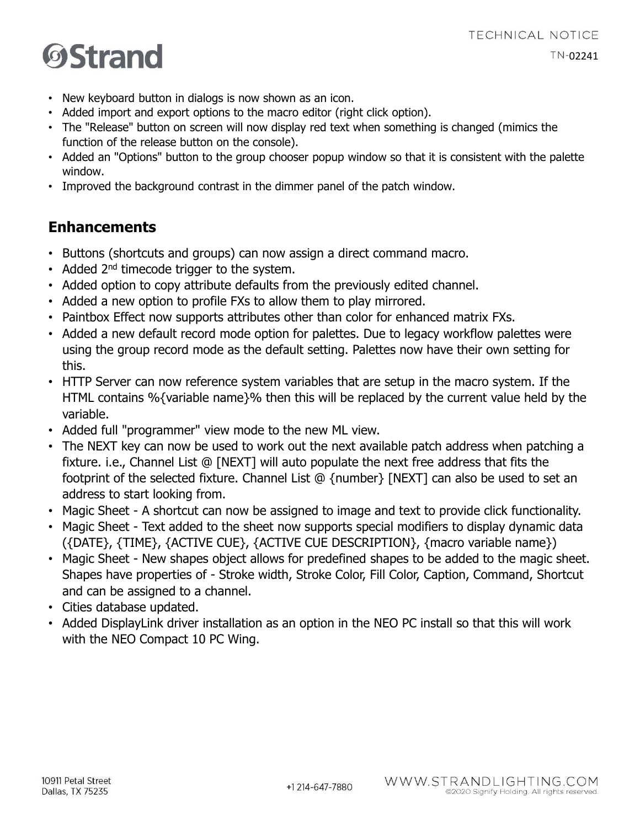#### **TECHNICAL NOTICE**  $TN-02241$

## **OStrand**

- New keyboard button in dialogs is now shown as an icon.
- Added import and export options to the macro editor (right click option).
- The "Release" button on screen will now display red text when something is changed (mimics the function of the release button on the console).
- Added an "Options" button to the group chooser popup window so that it is consistent with the palette window.
- Improved the background contrast in the dimmer panel of the patch window.

### **Enhancements**

- Buttons (shortcuts and groups) can now assign a direct command macro.
- Added  $2^{nd}$  timecode trigger to the system.
- Added option to copy attribute defaults from the previously edited channel.
- Added a new option to profile FXs to allow them to play mirrored.
- Paintbox Effect now supports attributes other than color for enhanced matrix FXs.
- Added a new default record mode option for palettes. Due to legacy workflow palettes were using the group record mode as the default setting. Palettes now have their own setting for this.
- HTTP Server can now reference system variables that are setup in the macro system. If the HTML contains %{variable name}% then this will be replaced by the current value held by the variable.
- Added full "programmer" view mode to the new ML view.
- The NEXT key can now be used to work out the next available patch address when patching a fixture. i.e., Channel List @ [NEXT] will auto populate the next free address that fits the footprint of the selected fixture. Channel List @ {number} [NEXT] can also be used to set an address to start looking from.
- Magic Sheet A shortcut can now be assigned to image and text to provide click functionality.
- Magic Sheet Text added to the sheet now supports special modifiers to display dynamic data ({DATE}, {TIME}, {ACTIVE CUE}, {ACTIVE CUE DESCRIPTION}, {macro variable name})
- Magic Sheet New shapes object allows for predefined shapes to be added to the magic sheet. Shapes have properties of - Stroke width, Stroke Color, Fill Color, Caption, Command, Shortcut and can be assigned to a channel.
- Cities database updated.
- Added DisplayLink driver installation as an option in the NEO PC install so that this will work with the NEO Compact 10 PC Wing.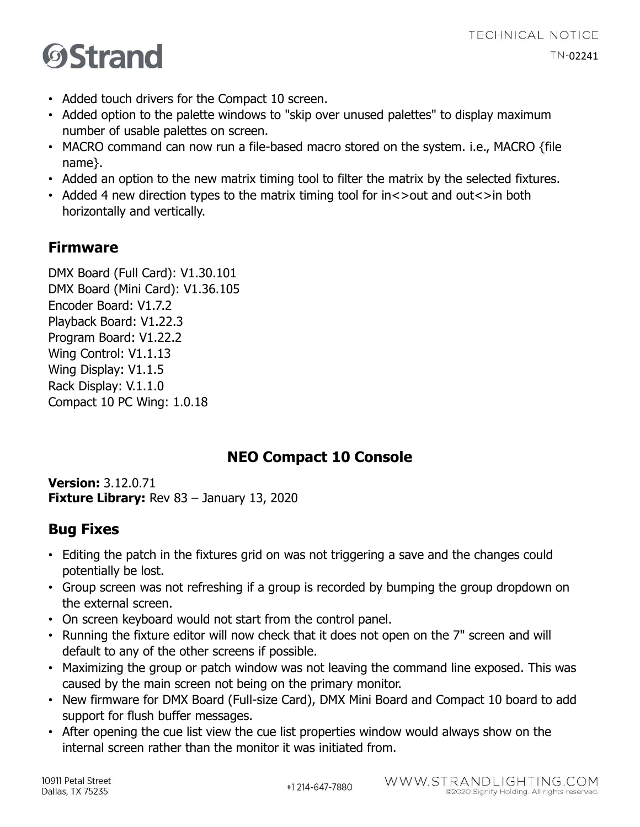- **ØStrand**
- Added touch drivers for the Compact 10 screen.
- Added option to the palette windows to "skip over unused palettes" to display maximum number of usable palettes on screen.
- MACRO command can now run a file-based macro stored on the system. i.e., MACRO {file name}.
- Added an option to the new matrix timing tool to filter the matrix by the selected fixtures.
- Added 4 new direction types to the matrix timing tool for in<>out and out<>in both horizontally and vertically.

### **Firmware**

DMX Board (Full Card): V1.30.101 DMX Board (Mini Card): V1.36.105 Encoder Board: V1.7.2 Playback Board: V1.22.3 Program Board: V1.22.2 Wing Control: V1.1.13 Wing Display: V1.1.5 Rack Display: V.1.1.0 Compact 10 PC Wing: 1.0.18

### **NEO Compact 10 Console**

**Version:** 3.12.0.71 **Fixture Library:** Rev 83 – January 13, 2020

### **Bug Fixes**

- Editing the patch in the fixtures grid on was not triggering a save and the changes could potentially be lost.
- Group screen was not refreshing if a group is recorded by bumping the group dropdown on the external screen.
- On screen keyboard would not start from the control panel.
- Running the fixture editor will now check that it does not open on the 7" screen and will default to any of the other screens if possible.
- Maximizing the group or patch window was not leaving the command line exposed. This was caused by the main screen not being on the primary monitor.
- New firmware for DMX Board (Full-size Card), DMX Mini Board and Compact 10 board to add support for flush buffer messages.
- After opening the cue list view the cue list properties window would always show on the internal screen rather than the monitor it was initiated from.